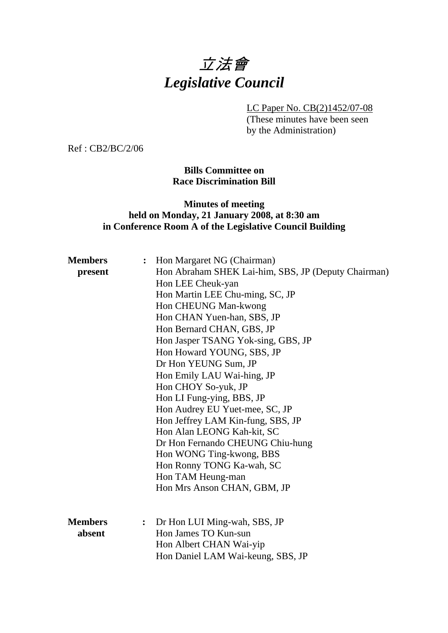# 立法會 *Legislative Council*

LC Paper No. CB(2)1452/07-08

(These minutes have been seen by the Administration)

Ref : CB2/BC/2/06

## **Bills Committee on Race Discrimination Bill**

## **Minutes of meeting held on Monday, 21 January 2008, at 8:30 am in Conference Room A of the Legislative Council Building**

| <b>Members</b><br>present | :              | Hon Margaret NG (Chairman)<br>Hon Abraham SHEK Lai-him, SBS, JP (Deputy Chairman)<br>Hon LEE Cheuk-yan<br>Hon Martin LEE Chu-ming, SC, JP<br>Hon CHEUNG Man-kwong<br>Hon CHAN Yuen-han, SBS, JP<br>Hon Bernard CHAN, GBS, JP<br>Hon Jasper TSANG Yok-sing, GBS, JP<br>Hon Howard YOUNG, SBS, JP<br>Dr Hon YEUNG Sum, JP<br>Hon Emily LAU Wai-hing, JP<br>Hon CHOY So-yuk, JP<br>Hon LI Fung-ying, BBS, JP<br>Hon Audrey EU Yuet-mee, SC, JP<br>Hon Jeffrey LAM Kin-fung, SBS, JP<br>Hon Alan LEONG Kah-kit, SC<br>Dr Hon Fernando CHEUNG Chiu-hung<br>Hon WONG Ting-kwong, BBS<br>Hon Ronny TONG Ka-wah, SC<br>Hon TAM Heung-man<br>Hon Mrs Anson CHAN, GBM, JP |
|---------------------------|----------------|-----------------------------------------------------------------------------------------------------------------------------------------------------------------------------------------------------------------------------------------------------------------------------------------------------------------------------------------------------------------------------------------------------------------------------------------------------------------------------------------------------------------------------------------------------------------------------------------------------------------------------------------------------------------|
| <b>Members</b><br>absent  | $\ddot{\cdot}$ | Dr Hon LUI Ming-wah, SBS, JP<br>Hon James TO Kun-sun<br>Hon Albert CHAN Wai-yip<br>Hon Daniel LAM Wai-keung, SBS, JP                                                                                                                                                                                                                                                                                                                                                                                                                                                                                                                                            |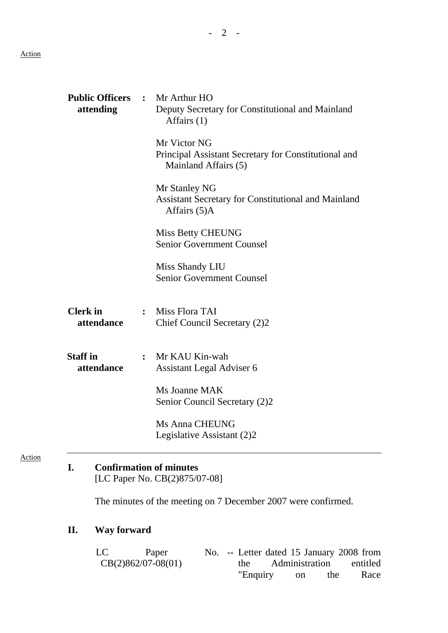Action

| <b>Public Officers</b><br>attending | $\ddot{\cdot}$ | Mr Arthur HO<br>Deputy Secretary for Constitutional and Mainland<br>Affairs (1)              |
|-------------------------------------|----------------|----------------------------------------------------------------------------------------------|
|                                     |                | Mr Victor NG<br>Principal Assistant Secretary for Constitutional and<br>Mainland Affairs (5) |
|                                     |                | Mr Stanley NG<br><b>Assistant Secretary for Constitutional and Mainland</b><br>Affairs (5)A  |
|                                     |                | <b>Miss Betty CHEUNG</b><br><b>Senior Government Counsel</b>                                 |
|                                     |                | Miss Shandy LIU<br><b>Senior Government Counsel</b>                                          |
| <b>Clerk</b> in<br>attendance       |                | Miss Flora TAI<br>Chief Council Secretary (2)2                                               |
| <b>Staff</b> in<br>attendance       | $\ddot{\cdot}$ | Mr KAU Kin-wah<br>Assistant Legal Adviser 6                                                  |
|                                     |                | Ms Joanne MAK<br>Senior Council Secretary (2)2                                               |
|                                     |                | Ms Anna CHEUNG<br>Legislative Assistant (2)2                                                 |
| I.                                  |                | <b>Confirmation of minutes</b><br>[LC Paper No. CB(2)875/07-08]                              |

The minutes of the meeting on 7 December 2007 were confirmed.

## **II. Way forward**

LC Paper CB(2)862/07-08(01) No. -- Letter dated 15 January 2008 from the Administration entitled "Enquiry on the Race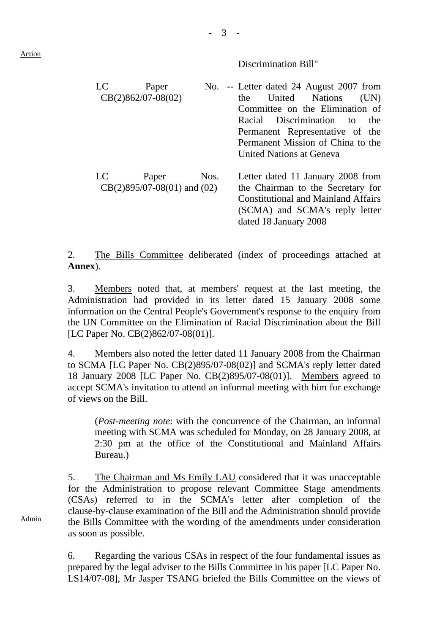Discrimination Bill"

| LC | Paper                                    |      | No. -- Letter dated 24 August 2007 from                                |
|----|------------------------------------------|------|------------------------------------------------------------------------|
|    | $CB(2)862/07-08(02)$                     |      | United<br><b>Nations</b><br>(UN)<br>the                                |
|    |                                          |      | Committee on the Elimination of                                        |
|    |                                          |      | Discrimination<br>Racial<br>the<br>to                                  |
|    |                                          |      | Permanent Representative of the                                        |
|    |                                          |      | Permanent Mission of China to the                                      |
|    |                                          |      | United Nations at Geneva                                               |
| LC | Paper<br>$CB(2)895/07-08(01)$ and $(02)$ | Nos. | Letter dated 11 January 2008 from<br>the Chairman to the Secretary for |
|    |                                          |      | <b>Constitutional and Mainland Affairs</b>                             |
|    |                                          |      | (SCMA) and SCMA's reply letter                                         |
|    |                                          |      | dated 18 January 2008                                                  |

- 3 -

2. The Bills Committee deliberated (index of proceedings attached at **Annex**).

3. Members noted that, at members' request at the last meeting, the Administration had provided in its letter dated 15 January 2008 some information on the Central People's Government's response to the enquiry from the UN Committee on the Elimination of Racial Discrimination about the Bill [LC Paper No. CB(2)862/07-08(01)].

4. Members also noted the letter dated 11 January 2008 from the Chairman to SCMA [LC Paper No. CB(2)895/07-08(02)] and SCMA's reply letter dated 18 January 2008 [LC Paper No. CB(2)895/07-08(01)]. Members agreed to accept SCMA's invitation to attend an informal meeting with him for exchange of views on the Bill.

(*Post-meeting note*: with the concurrence of the Chairman, an informal meeting with SCMA was scheduled for Monday, on 28 January 2008, at 2:30 pm at the office of the Constitutional and Mainland Affairs Bureau.)

5. The Chairman and Ms Emily LAU considered that it was unacceptable for the Administration to propose relevant Committee Stage amendments (CSAs) referred to in the SCMA's letter after completion of the clause-by-clause examination of the Bill and the Administration should provide the Bills Committee with the wording of the amendments under consideration as soon as possible.

6. Regarding the various CSAs in respect of the four fundamental issues as prepared by the legal adviser to the Bills Committee in his paper [LC Paper No. LS14/07-08], Mr Jasper TSANG briefed the Bills Committee on the views of

Admin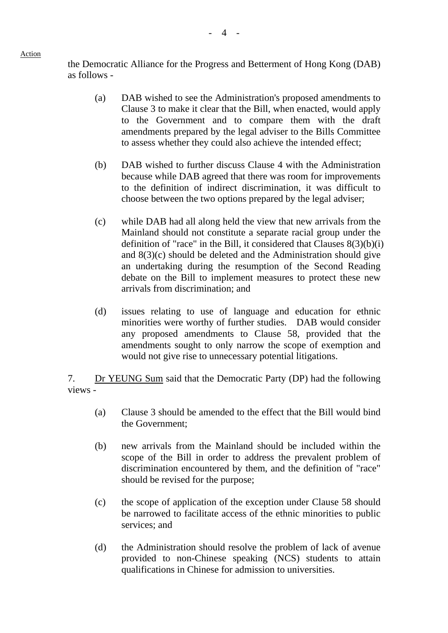#### Action

the Democratic Alliance for the Progress and Betterment of Hong Kong (DAB) as follows -

- (a) DAB wished to see the Administration's proposed amendments to Clause 3 to make it clear that the Bill, when enacted, would apply to the Government and to compare them with the draft amendments prepared by the legal adviser to the Bills Committee to assess whether they could also achieve the intended effect;
- (b) DAB wished to further discuss Clause 4 with the Administration because while DAB agreed that there was room for improvements to the definition of indirect discrimination, it was difficult to choose between the two options prepared by the legal adviser;
- (c) while DAB had all along held the view that new arrivals from the Mainland should not constitute a separate racial group under the definition of "race" in the Bill, it considered that Clauses  $8(3)(b)(i)$ and 8(3)(c) should be deleted and the Administration should give an undertaking during the resumption of the Second Reading debate on the Bill to implement measures to protect these new arrivals from discrimination; and
- (d) issues relating to use of language and education for ethnic minorities were worthy of further studies. DAB would consider any proposed amendments to Clause 58, provided that the amendments sought to only narrow the scope of exemption and would not give rise to unnecessary potential litigations.

7. Dr YEUNG Sum said that the Democratic Party (DP) had the following views -

- (a) Clause 3 should be amended to the effect that the Bill would bind the Government;
- (b) new arrivals from the Mainland should be included within the scope of the Bill in order to address the prevalent problem of discrimination encountered by them, and the definition of "race" should be revised for the purpose;
- (c) the scope of application of the exception under Clause 58 should be narrowed to facilitate access of the ethnic minorities to public services; and
- (d) the Administration should resolve the problem of lack of avenue provided to non-Chinese speaking (NCS) students to attain qualifications in Chinese for admission to universities.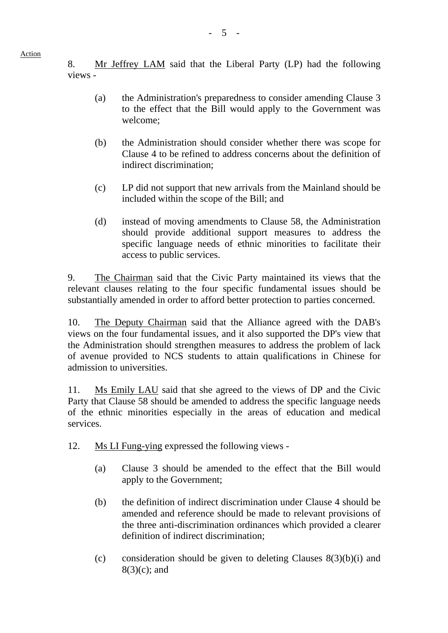8. Mr Jeffrey LAM said that the Liberal Party (LP) had the following views -

 $- 5 -$ 

- (a) the Administration's preparedness to consider amending Clause 3 to the effect that the Bill would apply to the Government was welcome;
- (b) the Administration should consider whether there was scope for Clause 4 to be refined to address concerns about the definition of indirect discrimination;
- (c) LP did not support that new arrivals from the Mainland should be included within the scope of the Bill; and
- (d) instead of moving amendments to Clause 58, the Administration should provide additional support measures to address the specific language needs of ethnic minorities to facilitate their access to public services.

9. The Chairman said that the Civic Party maintained its views that the relevant clauses relating to the four specific fundamental issues should be substantially amended in order to afford better protection to parties concerned.

10. The Deputy Chairman said that the Alliance agreed with the DAB's views on the four fundamental issues, and it also supported the DP's view that the Administration should strengthen measures to address the problem of lack of avenue provided to NCS students to attain qualifications in Chinese for admission to universities.

11. Ms Emily LAU said that she agreed to the views of DP and the Civic Party that Clause 58 should be amended to address the specific language needs of the ethnic minorities especially in the areas of education and medical services.

- 12. Ms LI Fung-ying expressed the following views
	- (a) Clause 3 should be amended to the effect that the Bill would apply to the Government;
	- (b) the definition of indirect discrimination under Clause 4 should be amended and reference should be made to relevant provisions of the three anti-discrimination ordinances which provided a clearer definition of indirect discrimination;
	- (c) consideration should be given to deleting Clauses  $8(3)(b)(i)$  and 8(3)(c); and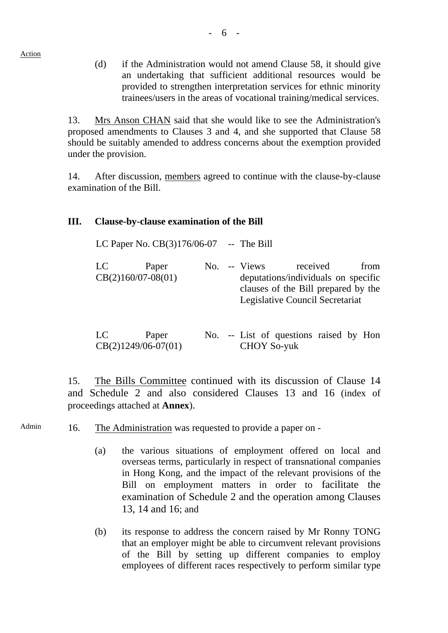(d) if the Administration would not amend Clause 58, it should give an undertaking that sufficient additional resources would be provided to strengthen interpretation services for ethnic minority trainees/users in the areas of vocational training/medical services.

13. Mrs Anson CHAN said that she would like to see the Administration's proposed amendments to Clauses 3 and 4, and she supported that Clause 58 should be suitably amended to address concerns about the exemption provided under the provision.

14. After discussion, members agreed to continue with the clause-by-clause examination of the Bill.

## **III. Clause-by-clause examination of the Bill**

| LC Paper No. $CB(3)176/06-07$ -- The Bill |       |  |              |                                                                                                                           |      |
|-------------------------------------------|-------|--|--------------|---------------------------------------------------------------------------------------------------------------------------|------|
| LC<br>$CB(2)160/07-08(01)$                | Paper |  | No. -- Views | received<br>deputations/individuals on specific<br>clauses of the Bill prepared by the<br>Legislative Council Secretariat | from |

| LC | Paper                 |  |  | No. -- List of questions raised by Hon |  |  |
|----|-----------------------|--|--|----------------------------------------|--|--|
|    | $CB(2)1249/06-07(01)$ |  |  | <b>CHOY So-yuk</b>                     |  |  |

15. The Bills Committee continued with its discussion of Clause 14 and Schedule 2 and also considered Clauses 13 and 16 (index of proceedings attached at **Annex**).

Admin 16. The Administration was requested to provide a paper on -

- (a) the various situations of employment offered on local and overseas terms, particularly in respect of transnational companies in Hong Kong, and the impact of the relevant provisions of the Bill on employment matters in order to facilitate the examination of Schedule 2 and the operation among Clauses 13, 14 and 16; and
- (b) its response to address the concern raised by Mr Ronny TONG that an employer might be able to circumvent relevant provisions of the Bill by setting up different companies to employ employees of different races respectively to perform similar type

Action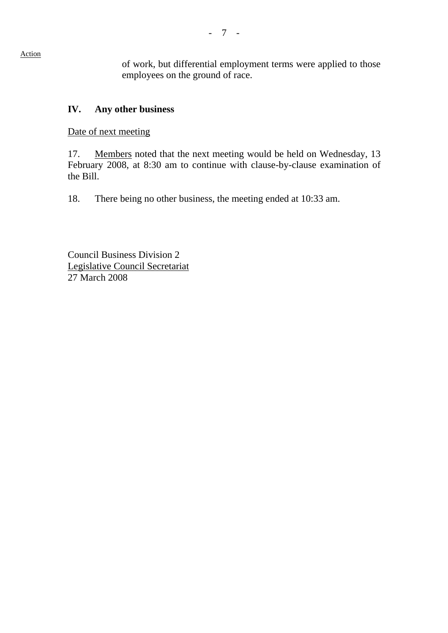of work, but differential employment terms were applied to those employees on the ground of race.

## **IV. Any other business**

Date of next meeting

17. Members noted that the next meeting would be held on Wednesday, 13 February 2008, at 8:30 am to continue with clause-by-clause examination of the Bill.

18. There being no other business, the meeting ended at 10:33 am.

Council Business Division 2 Legislative Council Secretariat 27 March 2008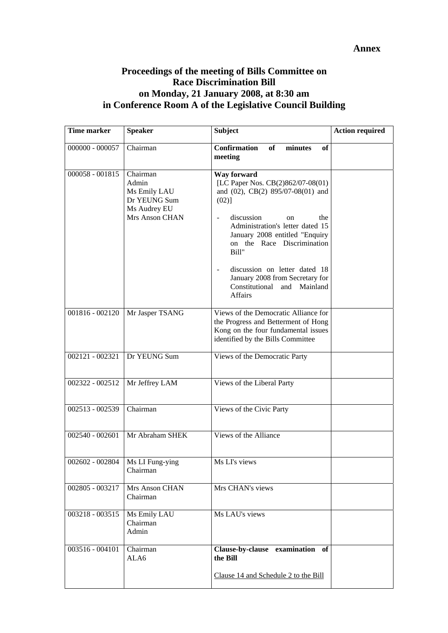### **Annex**

## **Proceedings of the meeting of Bills Committee on Race Discrimination Bill on Monday, 21 January 2008, at 8:30 am in Conference Room A of the Legislative Council Building**

| <b>Time marker</b>                | <b>Speaker</b>                                                    | <b>Subject</b>                                                                                                                                          | <b>Action required</b> |
|-----------------------------------|-------------------------------------------------------------------|---------------------------------------------------------------------------------------------------------------------------------------------------------|------------------------|
| $000000 - 000057$                 | Chairman                                                          | <b>Confirmation</b><br>of<br>minutes<br>of<br>meeting                                                                                                   |                        |
| $000058 - 001815$                 | Chairman<br>Admin<br>Ms Emily LAU<br>Dr YEUNG Sum<br>Ms Audrey EU | Way forward<br>[LC Paper Nos. CB(2)862/07-08(01)<br>and (02), CB(2) 895/07-08(01) and<br>(02)]                                                          |                        |
|                                   | Mrs Anson CHAN                                                    | discussion<br>the<br>on<br>Administration's letter dated 15<br>January 2008 entitled "Enquiry<br>on the Race Discrimination<br>Bill"                    |                        |
|                                   |                                                                   | discussion on letter dated 18<br>January 2008 from Secretary for<br>Constitutional and Mainland<br>Affairs                                              |                        |
| 001816 - 002120                   | Mr Jasper TSANG                                                   | Views of the Democratic Alliance for<br>the Progress and Betterment of Hong<br>Kong on the four fundamental issues<br>identified by the Bills Committee |                        |
| 002121 - 002321                   | Dr YEUNG Sum                                                      | Views of the Democratic Party                                                                                                                           |                        |
| 002322 - 002512                   | Mr Jeffrey LAM                                                    | Views of the Liberal Party                                                                                                                              |                        |
| 002513 - 002539                   | Chairman                                                          | Views of the Civic Party                                                                                                                                |                        |
| $002540 - 002601$                 | Mr Abraham SHEK                                                   | Views of the Alliance                                                                                                                                   |                        |
| 002602 - 002804   Ms LI Fung-ying | Chairman                                                          | Ms LI's views                                                                                                                                           |                        |
| 002805 - 003217                   | Mrs Anson CHAN<br>Chairman                                        | Mrs CHAN's views                                                                                                                                        |                        |
| 003218 - 003515                   | Ms Emily LAU<br>Chairman<br>Admin                                 | Ms LAU's views                                                                                                                                          |                        |
| 003516 - 004101                   | Chairman<br>ALA6                                                  | Clause-by-clause examination of<br>the Bill                                                                                                             |                        |
|                                   |                                                                   | Clause 14 and Schedule 2 to the Bill                                                                                                                    |                        |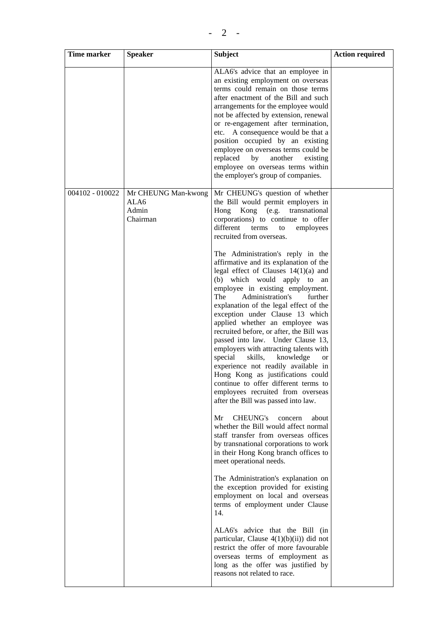| Time marker     | <b>Speaker</b>                                   | <b>Subject</b>                                                                                                                                                                                                                                                                                                                                                                                                                                                                                                                                                                                                                                                                                                               | <b>Action required</b> |
|-----------------|--------------------------------------------------|------------------------------------------------------------------------------------------------------------------------------------------------------------------------------------------------------------------------------------------------------------------------------------------------------------------------------------------------------------------------------------------------------------------------------------------------------------------------------------------------------------------------------------------------------------------------------------------------------------------------------------------------------------------------------------------------------------------------------|------------------------|
|                 |                                                  | ALA6's advice that an employee in<br>an existing employment on overseas<br>terms could remain on those terms<br>after enactment of the Bill and such<br>arrangements for the employee would<br>not be affected by extension, renewal<br>or re-engagement after termination,<br>etc. A consequence would be that a<br>position occupied by an existing<br>employee on overseas terms could be<br>replaced<br>by<br>another<br>existing<br>employee on overseas terms within<br>the employer's group of companies.                                                                                                                                                                                                             |                        |
| 004102 - 010022 | Mr CHEUNG Man-kwong<br>ALA6<br>Admin<br>Chairman | Mr CHEUNG's question of whether<br>the Bill would permit employers in<br>Kong (e.g. transnational<br>Hong<br>corporations) to continue to offer<br>different<br>employees<br>terms<br>to<br>recruited from overseas.                                                                                                                                                                                                                                                                                                                                                                                                                                                                                                         |                        |
|                 |                                                  | The Administration's reply in the<br>affirmative and its explanation of the<br>legal effect of Clauses $14(1)(a)$ and<br>(b) which would apply to<br>an<br>employee in existing employment.<br>The<br>Administration's<br>further<br>explanation of the legal effect of the<br>exception under Clause 13 which<br>applied whether an employee was<br>recruited before, or after, the Bill was<br>passed into law. Under Clause 13,<br>employers with attracting talents with<br>special<br>skills,<br>knowledge<br><b>or</b><br>experience not readily available in<br>Hong Kong as justifications could<br>continue to offer different terms to<br>employees recruited from overseas<br>after the Bill was passed into law. |                        |
|                 |                                                  | Mr<br>CHEUNG's<br>about<br>concern<br>whether the Bill would affect normal<br>staff transfer from overseas offices<br>by transnational corporations to work<br>in their Hong Kong branch offices to<br>meet operational needs.                                                                                                                                                                                                                                                                                                                                                                                                                                                                                               |                        |
|                 |                                                  | The Administration's explanation on<br>the exception provided for existing<br>employment on local and overseas<br>terms of employment under Clause<br>14.                                                                                                                                                                                                                                                                                                                                                                                                                                                                                                                                                                    |                        |
|                 |                                                  | ALA6's advice that the Bill (in<br>particular, Clause $4(1)(b)(ii)$ did not<br>restrict the offer of more favourable<br>overseas terms of employment as<br>long as the offer was justified by<br>reasons not related to race.                                                                                                                                                                                                                                                                                                                                                                                                                                                                                                |                        |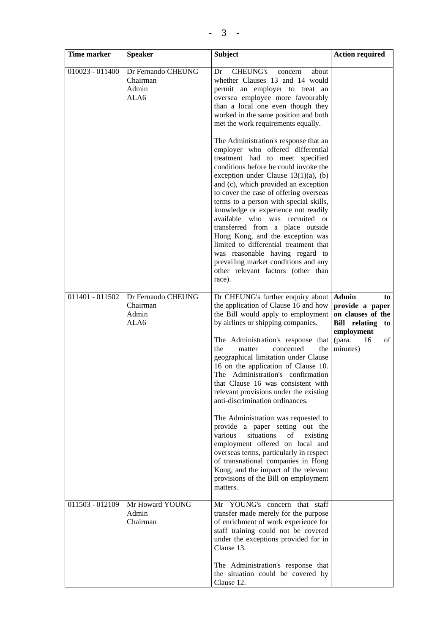| <b>Time marker</b> | <b>Speaker</b>                                  | <b>Subject</b>                                                                                                                                                                                                                                                                                                                                                                                                                                                                                                                                                                                                                                                                                                                                                                                               | <b>Action required</b>                                                                                                                   |
|--------------------|-------------------------------------------------|--------------------------------------------------------------------------------------------------------------------------------------------------------------------------------------------------------------------------------------------------------------------------------------------------------------------------------------------------------------------------------------------------------------------------------------------------------------------------------------------------------------------------------------------------------------------------------------------------------------------------------------------------------------------------------------------------------------------------------------------------------------------------------------------------------------|------------------------------------------------------------------------------------------------------------------------------------------|
| $010023 - 011400$  | Dr Fernando CHEUNG<br>Chairman<br>Admin<br>ALA6 | <b>CHEUNG's</b><br>Dr<br>about<br>concern<br>whether Clauses 13 and 14 would<br>permit an employer to treat an<br>oversea employee more favourably<br>than a local one even though they<br>worked in the same position and both<br>met the work requirements equally.                                                                                                                                                                                                                                                                                                                                                                                                                                                                                                                                        |                                                                                                                                          |
|                    |                                                 | The Administration's response that an<br>employer who offered differential<br>treatment had to meet specified<br>conditions before he could invoke the<br>exception under Clause $13(1)(a)$ , (b)<br>and (c), which provided an exception<br>to cover the case of offering overseas<br>terms to a person with special skills,<br>knowledge or experience not readily<br>available who was recruited or<br>transferred from a place outside<br>Hong Kong, and the exception was<br>limited to differential treatment that<br>was reasonable having regard to<br>prevailing market conditions and any<br>other relevant factors (other than<br>race).                                                                                                                                                          |                                                                                                                                          |
| 011401 - 011502    | Dr Fernando CHEUNG<br>Chairman<br>Admin<br>ALA6 | Dr CHEUNG's further enquiry about<br>the application of Clause 16 and how<br>the Bill would apply to employment<br>by airlines or shipping companies.<br>The Administration's response that<br>the<br>matter<br>concerned<br>the<br>geographical limitation under Clause<br>16 on the application of Clause 10.<br>The Administration's confirmation<br>that Clause 16 was consistent with<br>relevant provisions under the existing<br>anti-discrimination ordinances.<br>The Administration was requested to<br>provide a paper setting out the<br>situations<br>various<br>of<br>existing<br>employment offered on local and<br>overseas terms, particularly in respect<br>of transnational companies in Hong<br>Kong, and the impact of the relevant<br>provisions of the Bill on employment<br>matters. | <b>Admin</b><br>to<br>provide a paper<br>on clauses of the<br><b>Bill</b> relating<br>to<br>employment<br>(para.<br>of<br>16<br>minutes) |
| 011503 - 012109    | Mr Howard YOUNG<br>Admin<br>Chairman            | Mr YOUNG's concern that staff<br>transfer made merely for the purpose<br>of enrichment of work experience for<br>staff training could not be covered<br>under the exceptions provided for in<br>Clause 13.<br>The Administration's response that<br>the situation could be covered by<br>Clause 12.                                                                                                                                                                                                                                                                                                                                                                                                                                                                                                          |                                                                                                                                          |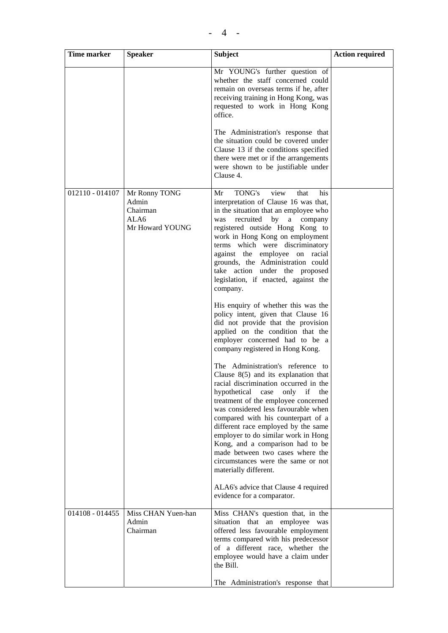| Time marker       | <b>Speaker</b>                                                | <b>Subject</b>                                                                                                                                                                                                                                                                                                                                                                                                                                                                                             | <b>Action required</b> |
|-------------------|---------------------------------------------------------------|------------------------------------------------------------------------------------------------------------------------------------------------------------------------------------------------------------------------------------------------------------------------------------------------------------------------------------------------------------------------------------------------------------------------------------------------------------------------------------------------------------|------------------------|
|                   |                                                               | Mr YOUNG's further question of<br>whether the staff concerned could<br>remain on overseas terms if he, after<br>receiving training in Hong Kong, was<br>requested to work in Hong Kong<br>office.                                                                                                                                                                                                                                                                                                          |                        |
|                   |                                                               | The Administration's response that<br>the situation could be covered under<br>Clause 13 if the conditions specified<br>there were met or if the arrangements<br>were shown to be justifiable under<br>Clause 4.                                                                                                                                                                                                                                                                                            |                        |
| 012110 - 014107   | Mr Ronny TONG<br>Admin<br>Chairman<br>ALA6<br>Mr Howard YOUNG | view<br>TONG's<br>his<br>Mr<br>that<br>interpretation of Clause 16 was that,<br>in the situation that an employee who<br>recruited<br>by<br>a<br>was<br>company<br>registered outside Hong Kong to<br>work in Hong Kong on employment<br>terms which were discriminatory<br>against the employee on racial<br>grounds, the Administration could<br>take action under the proposed<br>legislation, if enacted, against the<br>company.                                                                      |                        |
|                   |                                                               | His enquiry of whether this was the<br>policy intent, given that Clause 16<br>did not provide that the provision<br>applied on the condition that the<br>employer concerned had to be a<br>company registered in Hong Kong.                                                                                                                                                                                                                                                                                |                        |
|                   |                                                               | The Administration's reference to<br>Clause $8(5)$ and its explanation that<br>racial discrimination occurred in the<br>hypothetical<br>only<br>case<br>if<br>the<br>treatment of the employee concerned<br>was considered less favourable when<br>compared with his counterpart of a<br>different race employed by the same<br>employer to do similar work in Hong<br>Kong, and a comparison had to be<br>made between two cases where the<br>circumstances were the same or not<br>materially different. |                        |
|                   |                                                               | ALA6's advice that Clause 4 required<br>evidence for a comparator.                                                                                                                                                                                                                                                                                                                                                                                                                                         |                        |
| $014108 - 014455$ | Miss CHAN Yuen-han<br>Admin<br>Chairman                       | Miss CHAN's question that, in the<br>situation that an employee was<br>offered less favourable employment<br>terms compared with his predecessor<br>of a different race, whether the<br>employee would have a claim under<br>the Bill.<br>The Administration's response that                                                                                                                                                                                                                               |                        |